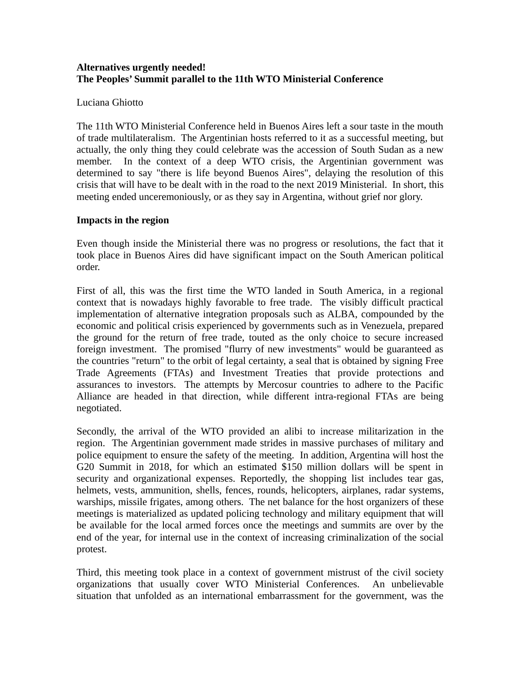### **Alternatives urgently needed! The Peoples' Summit parallel to the 11th WTO Ministerial Conference**

#### Luciana Ghiotto

The 11th WTO Ministerial Conference held in Buenos Aires left a sour taste in the mouth of trade multilateralism. The Argentinian hosts referred to it as a successful meeting, but actually, the only thing they could celebrate was the accession of South Sudan as a new member. In the context of a deep WTO crisis, the Argentinian government was determined to say "there is life beyond Buenos Aires", delaying the resolution of this crisis that will have to be dealt with in the road to the next 2019 Ministerial. In short, this meeting ended unceremoniously, or as they say in Argentina, without grief nor glory.

### **Impacts in the region**

Even though inside the Ministerial there was no progress or resolutions, the fact that it took place in Buenos Aires did have significant impact on the South American political order.

First of all, this was the first time the WTO landed in South America, in a regional context that is nowadays highly favorable to free trade. The visibly difficult practical implementation of alternative integration proposals such as ALBA, compounded by the economic and political crisis experienced by governments such as in Venezuela, prepared the ground for the return of free trade, touted as the only choice to secure increased foreign investment. The promised "flurry of new investments" would be guaranteed as the countries "return" to the orbit of legal certainty, a seal that is obtained by signing Free Trade Agreements (FTAs) and Investment Treaties that provide protections and assurances to investors. The attempts by Mercosur countries to adhere to the Pacific Alliance are headed in that direction, while different intra-regional FTAs are being negotiated.

Secondly, the arrival of the WTO provided an alibi to increase militarization in the region. The Argentinian government made strides in massive purchases of military and police equipment to ensure the safety of the meeting. In addition, Argentina will host the G20 Summit in 2018, for which an estimated \$150 million dollars will be spent in security and organizational expenses. Reportedly, the shopping list includes tear gas, helmets, vests, ammunition, shells, fences, rounds, helicopters, airplanes, radar systems, warships, missile frigates, among others. The net balance for the host organizers of these meetings is materialized as updated policing technology and military equipment that will be available for the local armed forces once the meetings and summits are over by the end of the year, for internal use in the context of increasing criminalization of the social protest.

Third, this meeting took place in a context of government mistrust of the civil society organizations that usually cover WTO Ministerial Conferences. An unbelievable situation that unfolded as an international embarrassment for the government, was the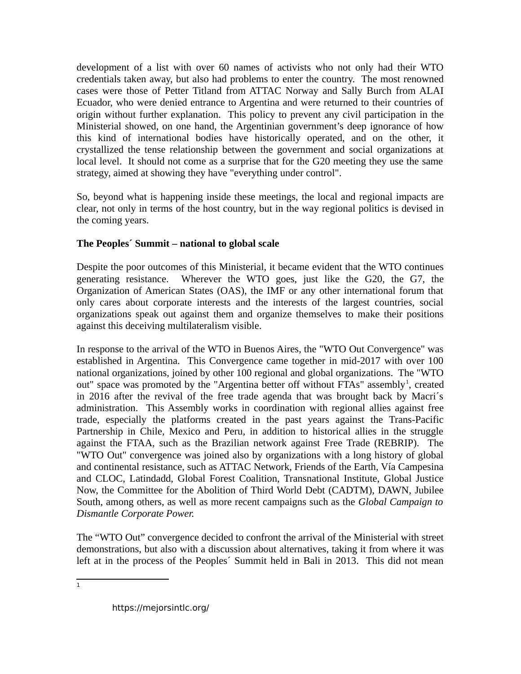development of a list with over 60 names of activists who not only had their WTO credentials taken away, but also had problems to enter the country. The most renowned cases were those of Petter Titland from ATTAC Norway and Sally Burch from ALAI Ecuador, who were denied entrance to Argentina and were returned to their countries of origin without further explanation. This policy to prevent any civil participation in the Ministerial showed, on one hand, the Argentinian government's deep ignorance of how this kind of international bodies have historically operated, and on the other, it crystallized the tense relationship between the government and social organizations at local level. It should not come as a surprise that for the G20 meeting they use the same strategy, aimed at showing they have "everything under control".

So, beyond what is happening inside these meetings, the local and regional impacts are clear, not only in terms of the host country, but in the way regional politics is devised in the coming years.

## **The Peoples´ Summit – national to global scale**

Despite the poor outcomes of this Ministerial, it became evident that the WTO continues generating resistance. Wherever the WTO goes, just like the G20, the G7, the Organization of American States (OAS), the IMF or any other international forum that only cares about corporate interests and the interests of the largest countries, social organizations speak out against them and organize themselves to make their positions against this deceiving multilateralism visible.

In response to the arrival of the WTO in Buenos Aires, the "WTO Out Convergence" was established in Argentina. This Convergence came together in mid-2017 with over 100 national organizations, joined by other 100 regional and global organizations. The "WTO out" space was promoted by the "Argentina better off without FTAs" assembly<sup>[1](#page-1-0)</sup>, created in 2016 after the revival of the free trade agenda that was brought back by Macri´s administration. This Assembly works in coordination with regional allies against free trade, especially the platforms created in the past years against the Trans-Pacific Partnership in Chile, Mexico and Peru, in addition to historical allies in the struggle against the FTAA, such as the Brazilian network against Free Trade (REBRIP). The "WTO Out" convergence was joined also by organizations with a long history of global and continental resistance, such as ATTAC Network, Friends of the Earth, Vía Campesina and CLOC, Latindadd, Global Forest Coalition, Transnational Institute, Global Justice Now, the Committee for the Abolition of Third World Debt (CADTM), DAWN, Jubilee South, among others, as well as more recent campaigns such as the *Global Campaign to Dismantle Corporate Power.*

The "WTO Out" convergence decided to confront the arrival of the Ministerial with street demonstrations, but also with a discussion about alternatives, taking it from where it was left at in the process of the Peoples´ Summit held in Bali in 2013. This did not mean

<span id="page-1-0"></span> $\overline{1}$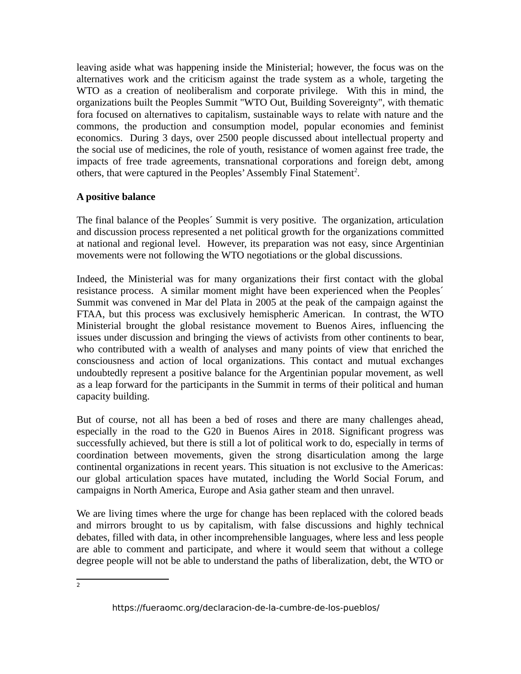leaving aside what was happening inside the Ministerial; however, the focus was on the alternatives work and the criticism against the trade system as a whole, targeting the WTO as a creation of neoliberalism and corporate privilege. With this in mind, the organizations built the Peoples Summit "WTO Out, Building Sovereignty", with thematic fora focused on alternatives to capitalism, sustainable ways to relate with nature and the commons, the production and consumption model, popular economies and feminist economics. During 3 days, over 2500 people discussed about intellectual property and the social use of medicines, the role of youth, resistance of women against free trade, the impacts of free trade agreements, transnational corporations and foreign debt, among others, that were captured in the Peoples' Assembly Final Statement<sup>[2](#page-2-0)</sup>.

# **A positive balance**

The final balance of the Peoples´ Summit is very positive. The organization, articulation and discussion process represented a net political growth for the organizations committed at national and regional level. However, its preparation was not easy, since Argentinian movements were not following the WTO negotiations or the global discussions.

Indeed, the Ministerial was for many organizations their first contact with the global resistance process. A similar moment might have been experienced when the Peoples´ Summit was convened in Mar del Plata in 2005 at the peak of the campaign against the FTAA, but this process was exclusively hemispheric American. In contrast, the WTO Ministerial brought the global resistance movement to Buenos Aires, influencing the issues under discussion and bringing the views of activists from other continents to bear, who contributed with a wealth of analyses and many points of view that enriched the consciousness and action of local organizations. This contact and mutual exchanges undoubtedly represent a positive balance for the Argentinian popular movement, as well as a leap forward for the participants in the Summit in terms of their political and human capacity building.

But of course, not all has been a bed of roses and there are many challenges ahead, especially in the road to the G20 in Buenos Aires in 2018. Significant progress was successfully achieved, but there is still a lot of political work to do, especially in terms of coordination between movements, given the strong disarticulation among the large continental organizations in recent years. This situation is not exclusive to the Americas: our global articulation spaces have mutated, including the World Social Forum, and campaigns in North America, Europe and Asia gather steam and then unravel.

We are living times where the urge for change has been replaced with the colored beads and mirrors brought to us by capitalism, with false discussions and highly technical debates, filled with data, in other incomprehensible languages, where less and less people are able to comment and participate, and where it would seem that without a college degree people will not be able to understand the paths of liberalization, debt, the WTO or

<span id="page-2-0"></span> $\overline{2}$ 

https://fueraomc.org/declaracion-de-la-cumbre-de-los-pueblos/